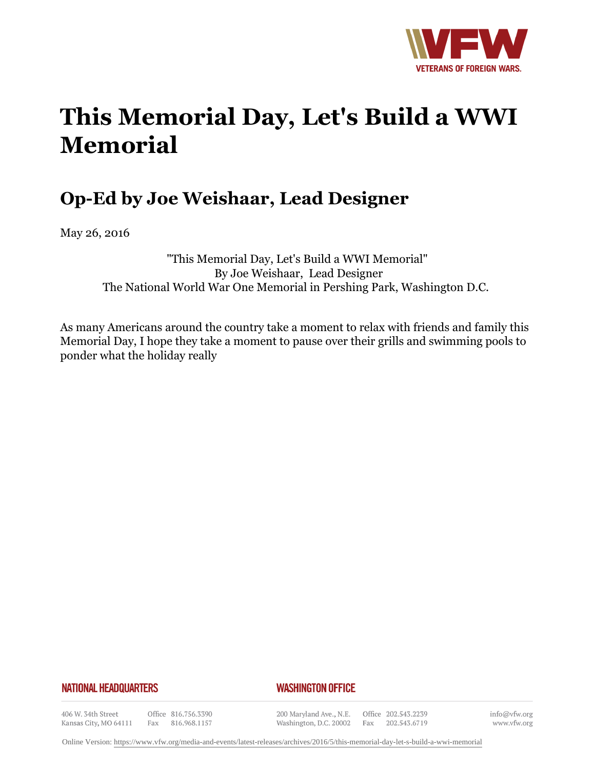

# **This Memorial Day, Let's Build a WWI Memorial**

## **Op-Ed by Joe Weishaar, Lead Designer**

May 26, 2016

"This Memorial Day, Let's Build a WWI Memorial" By Joe Weishaar, Lead Designer The National World War One Memorial in Pershing Park, Washington D.C.

As many Americans around the country take a moment to relax with friends and family this Memorial Day, I hope they take a moment to pause over their grills and swimming pools to ponder what the holiday really

### **NATIONAL HEADQUARTERS**

### *WASHINGTON OFFICE*

406 W. 34th Street Kansas City, MO 64111

Office 816.756.3390 Fax 816.968.1157

200 Maryland Ave., N.E. Washington, D.C. 20002

Office 202.543.2239 Fax 202.543.6719 info@vfw.org www.vfw.org

Online Version:<https://www.vfw.org/media-and-events/latest-releases/archives/2016/5/this-memorial-day-let-s-build-a-wwi-memorial>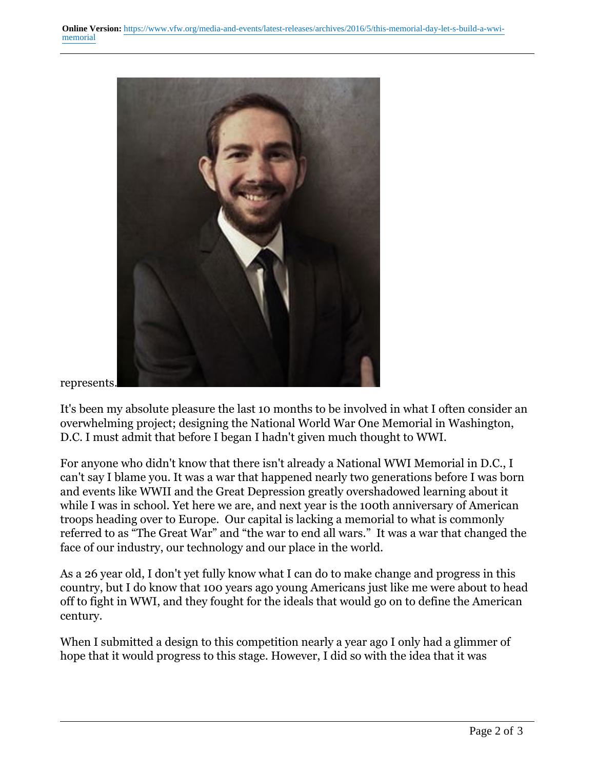

#### represents.

It's been my absolute pleasure the last 10 months to be involved in what I often consider an overwhelming project; designing the National World War One Memorial in Washington, D.C. I must admit that before I began I hadn't given much thought to WWI.

For anyone who didn't know that there isn't already a National WWI Memorial in D.C., I can't say I blame you. It was a war that happened nearly two generations before I was born and events like WWII and the Great Depression greatly overshadowed learning about it while I was in school. Yet here we are, and next year is the 100th anniversary of American troops heading over to Europe. Our capital is lacking a memorial to what is commonly referred to as "The Great War" and "the war to end all wars." It was a war that changed the face of our industry, our technology and our place in the world.

As a 26 year old, I don't yet fully know what I can do to make change and progress in this country, but I do know that 100 years ago young Americans just like me were about to head off to fight in WWI, and they fought for the ideals that would go on to define the American century.

When I submitted a design to this competition nearly a year ago I only had a glimmer of hope that it would progress to this stage. However, I did so with the idea that it was